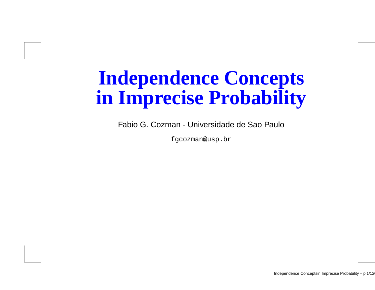## **Independence Conceptsin Imprecise Probability**

Fabio G. Cozman - Universidade de Sao Paulo

fgcozman@usp.br

Independence Conceptsin Imprecise Probability - p.1/12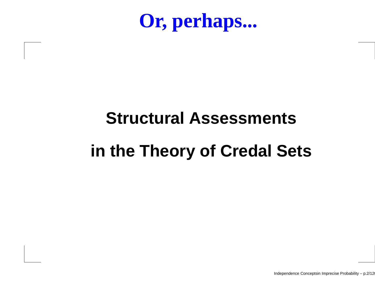**Or, perhaps...**

# **Structural Assessmentsin the Theory of Credal Sets**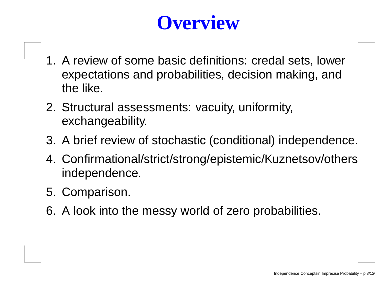## **Overview**

- 1. A review of some basic definitions: credal sets, lower expectations and probabilities, decision making, andthe like.
- 2. Structural assessments: vacuity, uniformity, exchangeability.
- 3. A brief review of stochastic (conditional) independence.
- 4. Confirmational/strict/strong/epistemic/Kuznetsov/othersindependence.
- 5. Comparison.
- 6. A look into the messy world of zero probabilities.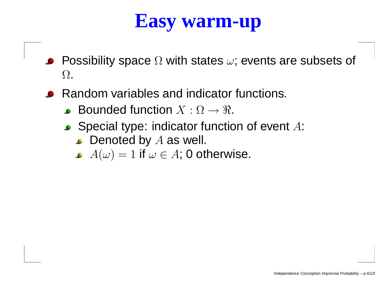#### **Easy warm-up**

- Possibility space  $\Omega$  with states  $\omega$ ; events are subsets of  $\bullet$  $\Omega$ .
- Random variables and indicator functions.
	- Bounded function  $X:\Omega\to\Re.$
	- Special type: indicator function of event  $A\!$ :
		- Denoted by  $A$  as well.<br>A( ) = 1 if =  $\pi$  4: 0 et
		- $A(\omega)=1$  if  $\omega\in A;$  0 otherwise.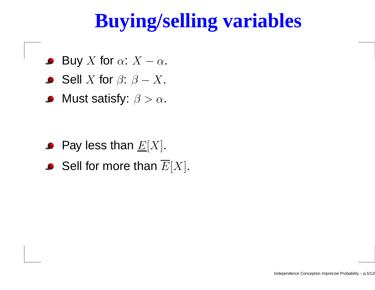## **Buying/selling variables**

- Buy  $X$  for  $\alpha$ :  $X$  $\bullet$  $\alpha$  .
- Sell  $X$  for  $\beta$ :  $\beta$  - $−$   $X$  .
- Must satisfy:  $\beta > \alpha.$  $\bullet$

- Pay less than  $\underline{E}[X].$
- Sell for more than  $E[X].$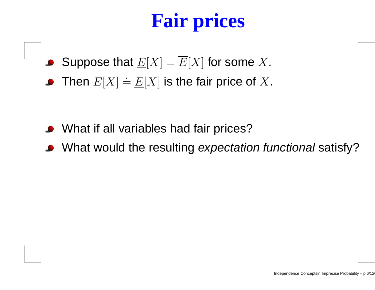## **Fair prices**

- Suppose that  $\underline{E}[X]=E[X]$  for some  $X.$
- Then  $E[X] \doteq E[X]$  is the fair price of  $X$ .
- What if all variables had fair prices?
- What would the resulting *expectation functional* satisfy?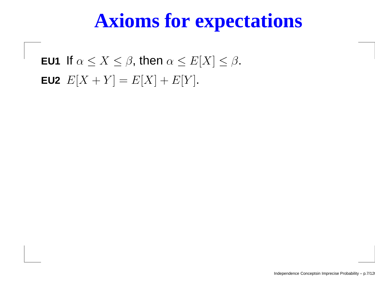#### **Axioms for expectations**

**EU1** If  $\alpha \leq X \leq \beta$ , then  $\alpha \leq E[X] \leq \beta$ . **EU2**  $E[X+Y] = E[X] + E[Y]$ .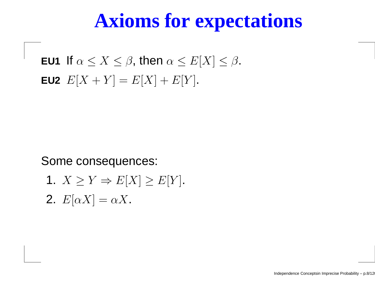#### **Axioms for expectations**

**EU1** If  $\alpha \leq X \leq \beta$ , then  $\alpha \leq E[X] \leq \beta$ . **EU2**  $E[X+Y] = E[X] + E[Y]$ .

Some consequences:

1.  $X \geq Y \Rightarrow E[X] \geq E[Y]$ . **2.**  $E[\alpha X] = \alpha X$ .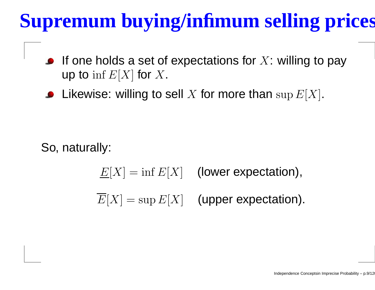## **Supremum buying/infimum selling prices**

- If one holds a set of expectations for  $X\!$ : willing to pay up to  $\inf E[X]$  for  $X$ .
- Likewise: willing to sell  $X$  for more than  $\sup E[X].$

So, naturally:

 $\underline{E}[X] = \inf E[X]$  (lower expectation),  $E[X] = \sup E[X]$  (upper expectation).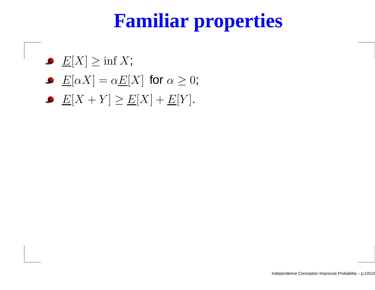## **Familiar properties**

- $\underline{E}[X] \geq \inf X;$
- $\underline{E}[\alpha X] = \alpha \underline{E}[X]$  for  $\alpha \geq 0$ ;
- $E[X+Y] \ge E[X] + E[Y]$ .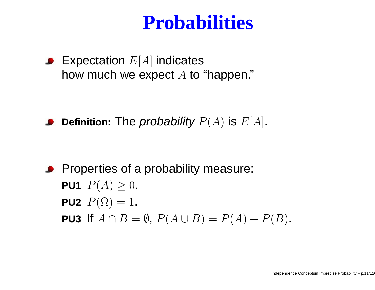#### **Probabilities**

Expectation  $E[A]$  indicates how much we expect  $A$  to "happen."

Definition: The *probability*  $P(A)$  *is*  $E[A]$ *.* 

**Properties of a probability measure:** PU1  $P(A)\geq 0.$ **PU2**  $P(\Omega) = 1$ . **PU3** If  $A \cap B = \emptyset$ ,  $P(A \cup B) = P(A) + P(B)$ .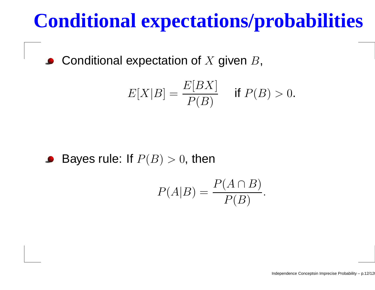## **Conditional expectations/probabilities**

Conditional expectation of  $X$  given  $B$ ,  $\bullet$ 

$$
E[X|B] = \frac{E[BX]}{P(B)} \quad \text{if } P(B) > 0.
$$

• Bayes rule: If 
$$
P(B) > 0
$$
, then

$$
P(A|B) = \frac{P(A \cap B)}{P(B)}.
$$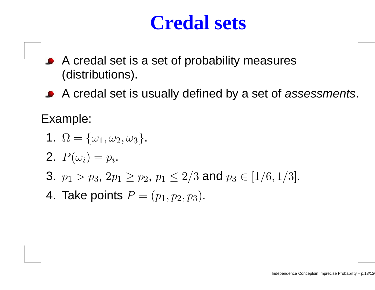#### **Credal sets**

- A credal set is <sup>a</sup> set of probability measures(distributions).
- A credal set is usually defined by a set of assessments.

Example:

- 1.  $\Omega = {\omega_1, \omega_2, \omega_3}.$
- **2.**  $P(\omega_i) = p_i$ .
- 3.  $p_1 > p_3$ ,  $2p_1 \geq p_2$ ,  $p_1 \leq 2/3$  and  $p_3 \in [1/6, 1/3]$ .
- 4. Take points  $P=(p_1,p_2,p_3)$ .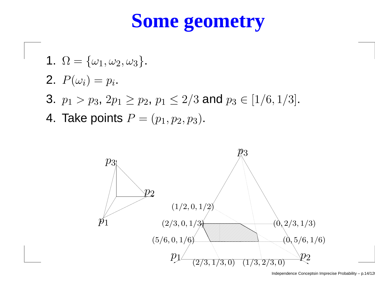## **Some geometry**

\n- 1. 
$$
\Omega = \{\omega_1, \omega_2, \omega_3\}
$$
.
\n- 2.  $P(\omega_i) = p_i$ .
\n- 3.  $p_1 > p_3$ ,  $2p_1 \geq p_2$ ,  $p_1 \leq 2/3$  and  $p_3 \in [1/6, 1/3]$ .
\n- 4. Take points  $P = (p_1, p_2, p_3)$ .
\n

 $\epsilon$ 

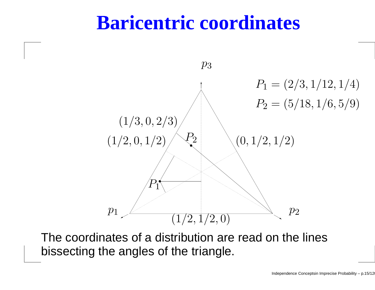#### **Baricentric coordinates**



The coordinates of <sup>a</sup> distribution are read on the linesbissecting the angles of the triangle.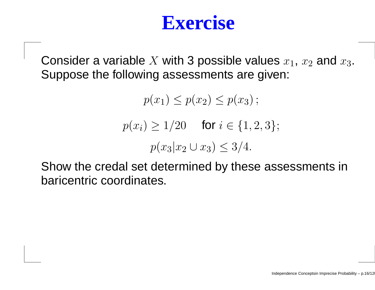Consider a variable  $X$  with 3 possible values  $x_1, \, x_2$  and  $x_3.$ Suppose the following assessments are given:

> $p(x_1) \leq p(x_2) \leq p(x_3)$ ;  $p(x_i) \ge 1/20$  for  $i \in \{1, 2, 3\};$  $p(x_3|x_2\cup x_3)\leq 3/4.$

Show the credal set determined by these assessments inbaricentric coordinates.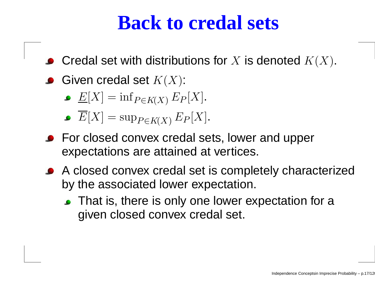#### **Back to credal sets**

- Credal set with distributions for  $X$  is denoted  $K(X).$
- Given credal set  $K(X)$ :
	- $\underline{E}[X] = \inf_{P \in K(X)}$  $_{P\in K\left( X\right) }E$  $\, P \,$  $P[X]$ .
	- $E[X] = \sup$  $_{P\in K\left( X\right) }E$  $\,P$  $P[X]$ .
- **•** For closed convex credal sets, lower and upper expectations are attained at vertices.
- A closed convex credal set is completely characterizedby the associated lower expectation.
	- That is, there is only one lower expectation for a given closed convex credal set.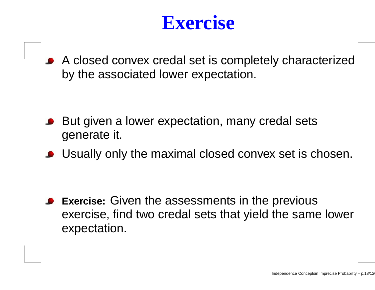A closed convex credal set is completely characterizedby the associated lower expectation.

- But given <sup>a</sup> lower expectation, many credal setsgenerate it.
- Usually only the maximal closed convex set is chosen.

**Exercise:** Given the assessments in the previous exercise, find two credal sets that yield the same lowerexpectation.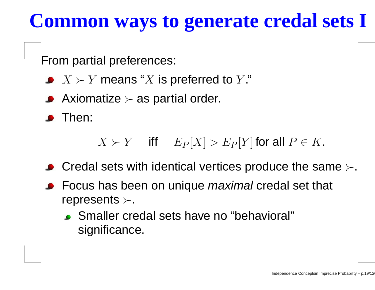## **Common ways to generate credal sets I**

From partial preferences:

- $X \succ Y$  means " $X$  is preferred to  $Y$ ."
- Axiomatize  $\succ$  as partial order.

**S** Then:

 $X \succ Y$  iff  $E_P$  $P[X] > E$  $\, P \,$  $P[P]$  for all  $P \in K$ .

- Credal sets with identical vertices produce the same  $\succ$ .
- Focus has been on unique *maximal* credal set that represents  $\succ$ .
	- Smaller credal sets have no "behavioral"significance.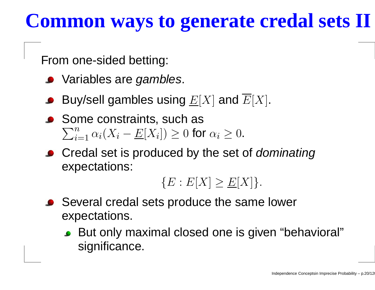## **Common ways to generate credal sets II**

From one-sided betting:

- Variables are *gambles*.
- Buy/sell gambles using  $\underline{E}[X]$  and  $E[X].$
- Some constraints, such as  $\sum_{i=1}^n \alpha_i (X_i - \underline{E}[X_i]) \geq 0$  fo  $\frac{n}{i=1}\, \alpha_i(X_i$ − $\underline{E}[X_i])\geq 0$  for  $\alpha_i\geq 0$ .
- Credal set is produced by the set of *dominating* expectations:

 ${E : E[X] \ge E[X]}$ .

- Several credal sets produce the same lower expectations.
	- But only maximal closed one is given "behavioral"significance.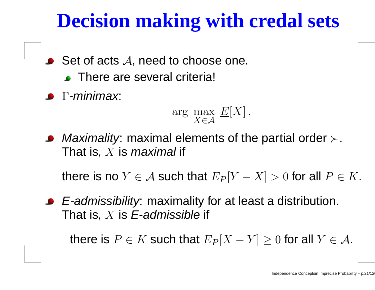## **Decision making with credal sets**

- Set of acts  $\mathcal A,$  need to choose one.
	- There are several criteria!
- $\bullet$  Γ-minimax:

$$
\arg\max_{X \in \mathcal{A}} E[X].
$$

*Maximality*: maximal elements of the partial order  $\succ$ . That is,  $X$  is *maximal* if

there is no  $Y\in\mathcal{A}$  such that  $E_P$  $P[Y]$  $[X] > 0$  for all  $P \in K$ .

E-admissibility: maximality for at least <sup>a</sup> distribution. That is,  $X$  is  $\boldsymbol{\mathsf{E}}$ -admissible if

there is  $P \in K$  such that  $E_P$  $P[X]$  $-Y$ ]  $\geq 0$  for all  $Y \in \mathcal{A}$ .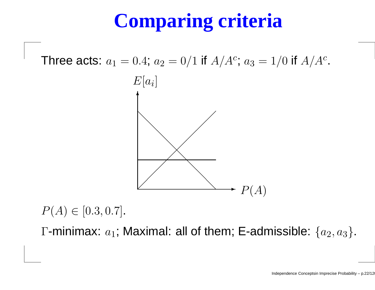## **Comparing criteria**

Three acts:  $a_1$  $_1 = 0.4; a$  $_2 = 0/1$  if  $A/A^c$  $c$ ;  $a_3 = 1/0$  if  $A/A^c$ ;<br>; .



 $P(A) \in [0.3, 0.7]$ .

 $\Gamma$ -minimax:  $a_1$ ; Maximal: all of them; E-admissible:  $\{a_2,a_3\}$ .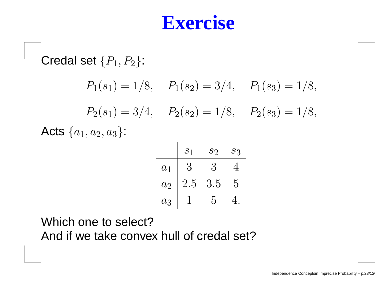Credal set  $\{P_1, P_2\}$ :  $P_1(s_1) = 1/8$ ,  $P_1(s_2) = 3/4$ ,  $P_1(s_3) = 1/8$ ,  $P_2(s_1) = 3/4$ ,  $P_2(s_2) = 1/8$ ,  $P_2(s_3) = 1/8$ , Acts  $\{a_1,a_2,a_3\}$ :

|       | S <sub>1</sub> | $\mathcal{S}2$ | $S_{3}$ |
|-------|----------------|----------------|---------|
| $a_1$ | 3              | 3              |         |
| $a_2$ | $2.5\,$        | 3.5            | 5       |
| $a_3$ |                | 5              |         |

Which one to select?And if we take convex hull of credal set?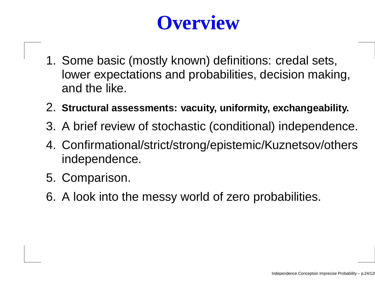## **Overview**

- 1. Some basic (mostly known) definitions: credal sets, lower expectations and probabilities, decision making, and the like.
- 2. **Structural assessments: vacuity, uniformity, exchangeability.**
- 3. A brief review of stochastic (conditional) independence.
- 4. Confirmational/strict/strong/epistemic/Kuznetsov/othersindependence.
- 5. Comparison.
- 6. A look into the messy world of zero probabilities.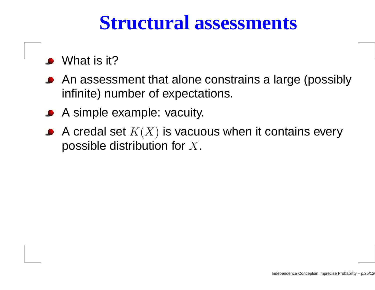#### **Structural assessments**

- What is it?
- An assessment that alone constrains <sup>a</sup> large (possiblyinfinite) number of expectations.
- A simple example: vacuity.
- A credal set  $K(X)$  is vacuous when it contains every possible distribution for  $X.$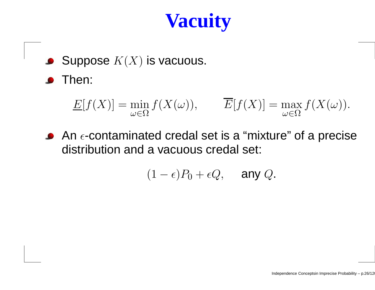## **Vacuity**

Suppose  $K(X)$  is vacuous.

**S** Then:

$$
\underline{E}[f(X)] = \min_{\omega \in \Omega} f(X(\omega)), \qquad \overline{E}[f(X)] = \max_{\omega \in \Omega} f(X(\omega)).
$$

An  $\epsilon$ -contaminated credal set is a "mixture" of a precise distribution and <sup>a</sup> vacuous credal set:

$$
(1-\epsilon)P_0+\epsilon Q, \quad \text{any } Q.
$$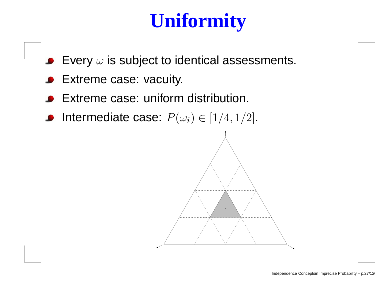## **Uniformity**

- Every  $\omega$  is subject to identical assessments.
- Extreme case: vacuity.
- Extreme case: uniform distribution.
- Intermediate case:  $P(\omega_i) \in [1/4,1/2]$ .

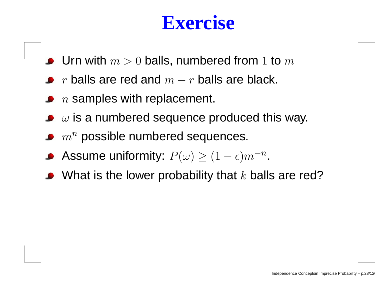- Urn with  $m > 0$  balls, numbered from  $1$  to  $m$
- $r$  balls are red and  $m-r$  balls are black.
- $\,n$  samples with replacement.
- $\omega$  is a numbered sequence produced this way.
- $m^{\bm n}$  possible numbered sequences.
- Assume uniformity:  $P(\omega) \ge (1 \epsilon) m^{-n}$ .
- What is the lower probability that  $k$  balls are red?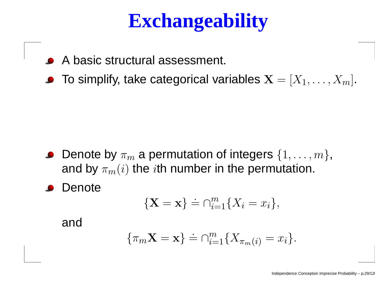## **Exchangeability**

- A basic structural assessment.
- To simplify, take categorical variables  $\mathbf{X} = [X_1, \dots, X_m].$

- Denote by  $\pi_m$  $\sim$  (  $\sim$  ) and  $\sim$  1 and  $\sim$  1 and  $\sim$  1 and 2 and 2 and 2 and 2 and 2 and 2 and 2 and 2 and 2 and 2 and 2 and 2 and 2 and 2 and 2 and 2 and 2 and 2 and 2 and 2 and 2 and 2 and 2 and 2 and 2 and 2 and 2 and 2 and 2  $m$  a permutation of integers  $\{1,\ldots,m\},$ and by  $\pi_m(i)$  the  $i$ th number in the permutation.
- Denote

$$
\{\mathbf X = \mathbf x\} \doteq \bigcap_{i=1}^m \{X_i = x_i\},\
$$

and

$$
\{\pi_m \mathbf{X} = \mathbf{x}\} \doteq \bigcap_{i=1}^m \{X_{\pi_m(i)} = x_i\}.
$$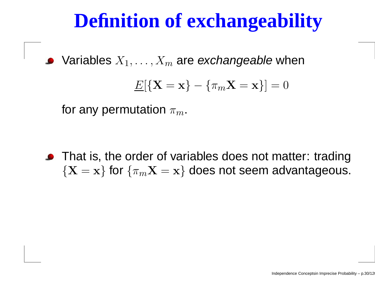## **Definition of exchangeability**

Variables  $X_1, \ldots, X_m$  are *exchangeable* when

$$
\underline{E}[\{\mathbf{X} = \mathbf{x}\} - \{\pi_m \mathbf{X} = \mathbf{x}\}] = 0
$$

for any permutation  $\pi_m.$ 

• That is, the order of variables does not matter: trading  $\{{\bf X}={\bf x}\}$  for  $\{\pi_m{\bf X}={\bf x}\}$  does not seem advantageous.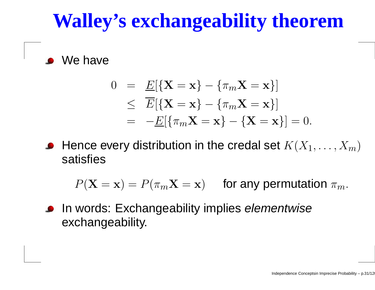## **Walley's exchangeability theorem**

We have

$$
0 = \underline{E}[\{\mathbf{X} = \mathbf{x}\} - {\{\pi_m \mathbf{X} = \mathbf{x}\}}]
$$
  
\n
$$
\leq \overline{E}[\{\mathbf{X} = \mathbf{x}\} - {\{\pi_m \mathbf{X} = \mathbf{x}\}}]
$$
  
\n
$$
= -\underline{E}[\{\pi_m \mathbf{X} = \mathbf{x}\} - {\{\mathbf{X} = \mathbf{x}\}}] = 0.
$$

Hence every distribution in the credal set  $K(X_1,\ldots,X_m)$ satisfies

 $P(\mathbf{X}=$  $\mathbf{x}) = P(\pi_m \mathbf{X}=\mathbf{x})$  for any permutation  $\pi_m$ .

In words: Exchangeability implies *elementwise* exchangeability.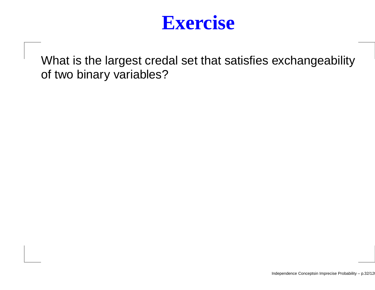

What is the largest credal set that satisfies exchangeabilityof two binary variables?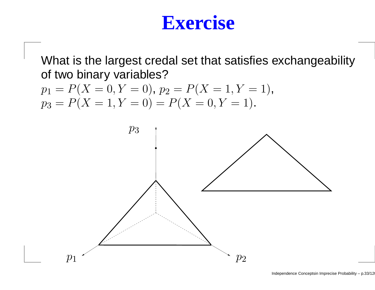What is the largest credal set that satisfies exchangeabilityof two binary variables?

$$
p_1 = P(X = 0, Y = 0), p_2 = P(X = 1, Y = 1),
$$
  

$$
p_3 = P(X = 1, Y = 0) = P(X = 0, Y = 1).
$$

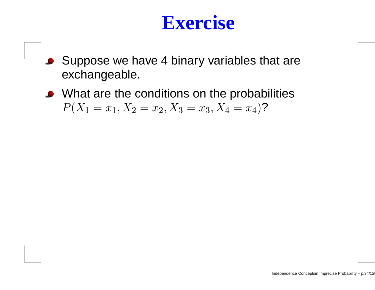- Suppose we have <sup>4</sup> binary variables that are $\bullet$ exchangeable.
- What are the conditions on the probabilities  $P(X_1 = x_1, X_2 = x_2, X_3 = x_3, X_4 = x_4)$ ?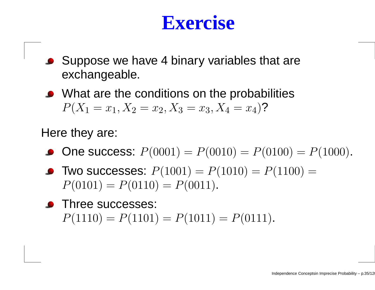- Suppose we have 4 binary variables that are exchangeable.
- What are the conditions on the probabilities  $P(X_1 = x_1, X_2 = x_2, X_3 = x_3, X_4 = x_4)$ ?

#### Here they are:

- **One success:**  $P(0001) = P(0010) = P(0100) = P(1000)$ .
- **Two successes:**  $P(1001) = P(1010) = P(1100) = P(0101) = P(0101) = P(0101)$  $P(0101) = P(0110) = P(0011).$
- **•** Three successes:  $P(1110) = P(1101) = P(1011) = P(0111).$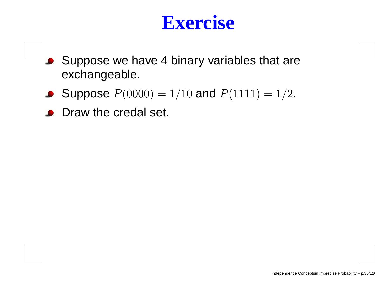- Suppose we have 4 binary variables that are exchangeable.
- Suppose  $P(0000) = 1/10$  and  $P(1111) = 1/2$ .
- **Draw the credal set.**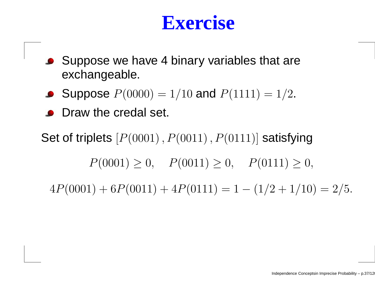#### **Exercise**

- Suppose we have 4 binary variables that are exchangeable.
- Suppose  $P(0000) = 1/10$  and  $P(1111) = 1/2$ .
- **O** Draw the credal set.

Set of triplets  $[P(0001)\,,P(0011)\,,P(0111)]$  satisfying  $P(0001) \geq 0$ ,  $P(0011) \geq 0$ ,  $P(0111) \geq 0$ ,  $4P(0001) + 6P(0011) + 4P(0111) = 1 - (1/2 + 1/10) = 2/5.$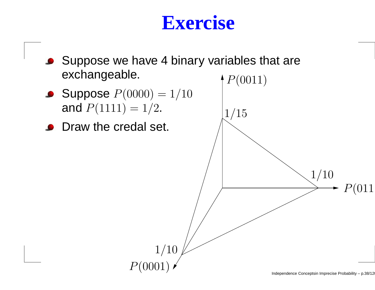#### **Exercise**

● Suppose we have 4 binary variables that are exchangeable.



**O** Draw the credal set.

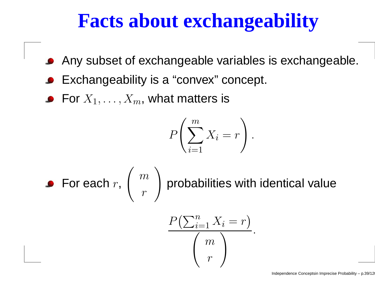### **Facts about exchangeability**

- Any subset of exchangeable variables is exchangeable.
- Exchangeability is <sup>a</sup> "convex" concept.
- For  $X_1, \ldots, X_m$ , what matters is

$$
P\left(\sum_{i=1}^{m} X_i = r\right)
$$

.

• For each 
$$
r
$$
,  $\binom{m}{r}$  probabilities with identical value

$$
\frac{P(\sum_{i=1}^{n} X_i = r)}{r}.
$$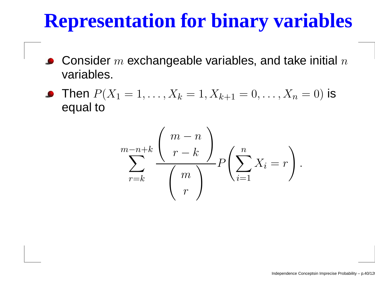## **Representation for binary variables**

- Consider  $m$  exchangeable variables, and take initial  $n$  $\bullet$ variables.
- Then  $P(X_1\;$  equal to $i_1 = 1, \ldots, X$  $\,$  $k = 1, X$  $k{+}1$  $_1 = 0, \ldots, X_n = 0)$  is

$$
\sum_{r=k}^{m-n+k} \frac{\binom{m-n}{r-k}}{\binom{m}{r}} P\left(\sum_{i=1}^{n} X_i = r\right)
$$

.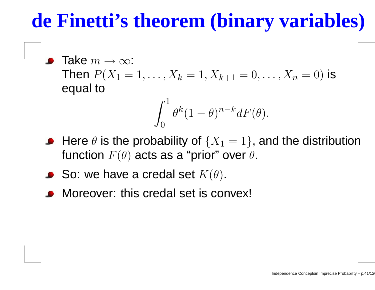#### **de Finetti's theorem (binary variables)**

Take  $m\to\infty$ :<br>Thon  $P(\mathbf{\,Y}_{-}% )\rightarrow\infty$ Then  $P(X_1\;$  equal to $i_1 = 1, \ldots, X$  $\,$  $k = 1, X$  $k{+}1$  $_1 = 0, \ldots, X_n = 0)$  is

$$
\int_0^1 \theta^k (1-\theta)^{n-k} dF(\theta).
$$

- Here  $\theta$  is the probability of  $\{X_1=1\}$ , and the distribution  $\mathsf{Hion} \;\; \mathsf{\Gamma}(A)$  acto ac a "prio function  $F(\theta)$  acts as a "prior" over  $\theta.$
- So: we have a credal set  $K(\theta).$
- Moreover: this credal set is convex!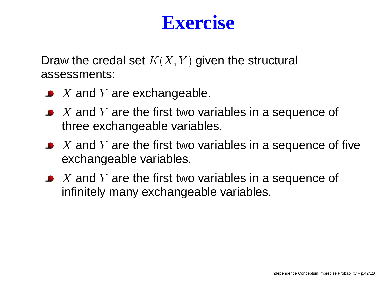#### **Exercise**

Draw the credal set  $K(X,Y)$  given the structural assessments:

- $X$  and  $Y$  are exchangeable.
- $X$  and  $Y$  are the first two variables in a sequence of  $k$ three exchangeable variables.
- $X$  and  $Y$  are the first two variables in a sequence of five<br>exchangeable veriables exchangeable variables.
- $X$  and  $Y$  are the first two variables in a sequence of  $X$ infinitely many exchangeable variables.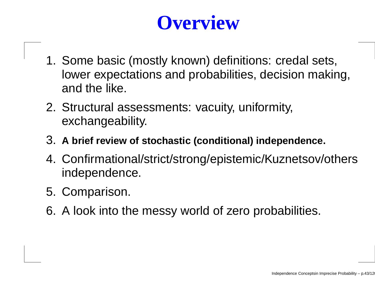## **Overview**

- 1. Some basic (mostly known) definitions: credal sets, lower expectations and probabilities, decision making, and the like.
- 2. Structural assessments: vacuity, uniformity, exchangeability.
- 3. **<sup>A</sup> brief review of stochastic (conditional) independence.**
- 4. Confirmational/strict/strong/epistemic/Kuznetsov/othersindependence.
- 5. Comparison.
- 6. A look into the messy world of zero probabilities.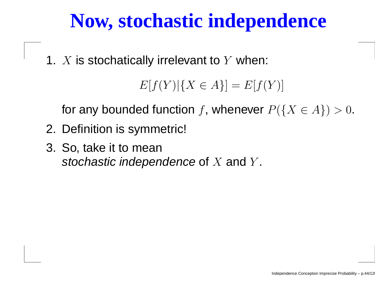#### **Now, stochastic independence**

1.  $X$  is stochatically irrelevant to  $Y$  when:

```
E[f(Y)|{X \in A}] = E[f(Y)]
```
for any bounded function  $f$ , whenever  $P(\{X\in A\})>0.$ 

- 2. Definition is symmetric!
- 3. So, take it to meanstochastic independence of  $X$  and  $Y$  $\overline{\phantom{a}}$ .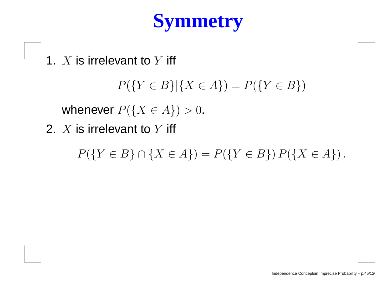## **Symmetry**

1.  $X$  is irrelevant to  $Y$  iff

 $P({Y \in B} | {X \in A}) = P({Y \in B})$ 

whenever  $P(\{X \in A\}) > 0$ .

2.  $X$  is irrelevant to  $Y$  iff

 $P({Y \in B} \cap {X \in A}) = P({Y \in B}) P({X \in A}).$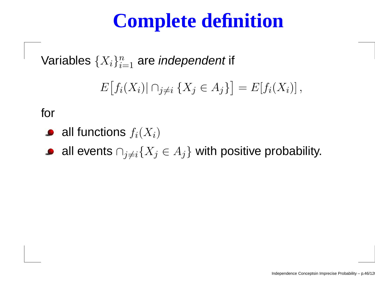## **Complete definition**

Variables  $\{X_i\}_{i=1}^n$  $i$ =1  $_1$  are *independent* if

$$
E[f_i(X_i)| \cap j \neq i \{X_j \in A_j\}] = E[f_i(X_i)],
$$

for

- all functions  $f_i(X_i)$
- all events  $\cap_{j\neq i}\{X_j\in A_j\}$  with positive probability.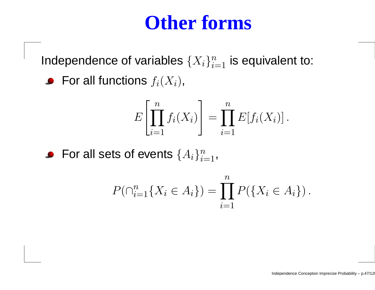#### **Other forms**

Independence of variables  $\{X_i\}_{i=1}^n$  is equivalent to:

For all functions  $f_i(X_i),$ 

$$
E\left[\prod_{i=1}^n f_i(X_i)\right] = \prod_{i=1}^n E[f_i(X_i)]\,.
$$

For all sets of events  $\{A_i\}_{i=1}^n$  ,

$$
P(\bigcap_{i=1}^{n} \{X_i \in A_i\}) = \prod_{i=1}^{n} P(\{X_i \in A_i\}).
$$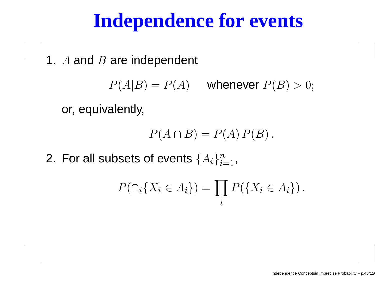#### **Independence for events**

1.  $A$  and  $B$  are independent

 $P(A|B) = P(A)$  whenever  $P(B) > 0$ ;

or, equivalently,

$$
P(A \cap B) = P(A) P(B).
$$

2. For all subsets of events  $\{A_i\}_{i=1}^n$  $i{=}1$  '

$$
P(\bigcap_i \{X_i \in A_i\}) = \prod_i P(\{X_i \in A_i\}).
$$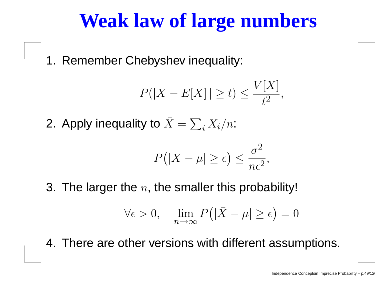#### **Weak law of large numbers**

1. Remember Chebyshev inequality:

$$
P(|X - E[X]| \ge t) \le \frac{V[X]}{t^2},
$$

2. Apply inequality to  $\bar{X}=$  $\sum_i X_i/n$ :

$$
P(|\bar{X} - \mu| \ge \epsilon) \le \frac{\sigma^2}{n\epsilon^2},
$$

3. The larger the  $n,$  the smaller this probability!

$$
\forall \epsilon > 0, \quad \lim_{n \to \infty} P(|\bar{X} - \mu| \ge \epsilon) = 0
$$

4. There are other versions with different assumptions.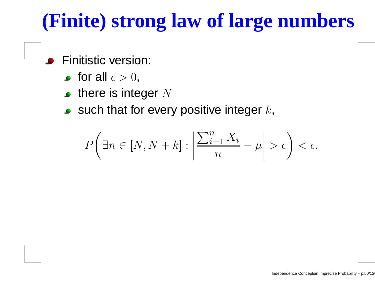## **(Finite) strong law of large numbers**

- **•** Finitistic version:
	- for all  $\epsilon>0,$
	- there is integer  $N$
	- such that for every positive integer  $k,$

$$
P\left(\exists n \in [N, N+k] : \left|\frac{\sum_{i=1}^{n} X_i}{n} - \mu\right| > \epsilon\right) < \epsilon.
$$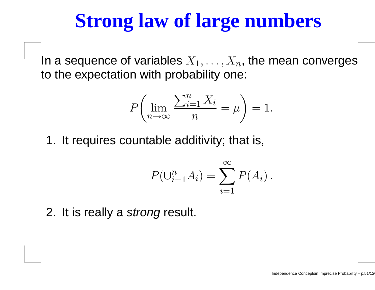#### **Strong law of large numbers**

In a sequence of variables  $X_1, \ldots, X_n,$  the mean converges Λk to the expectation with probability one:

$$
P\left(\lim_{n\to\infty}\frac{\sum_{i=1}^{n}X_i}{n}=\mu\right)=1.
$$

1. It requires countable additivity; that is,

$$
P(\bigcup_{i=1}^{n} A_i) = \sum_{i=1}^{\infty} P(A_i).
$$

2. It is really a *strong* result.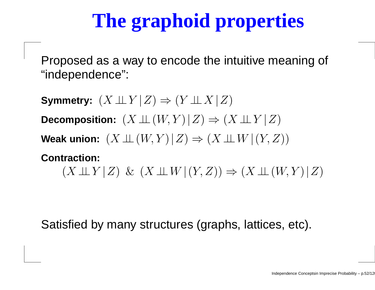# **The graphoid properties**

Proposed as <sup>a</sup> way to encode the intuitive meaning of "independence":

**Symmetry:**  $(X \perp\!\!\!\perp Y | Z) \Rightarrow (Y \perp\!\!\!\perp X | Z)$ Decomposition:  $(X \perp\!\!\!\perp (W, Y) | Z) \Rightarrow (X \perp\!\!\!\perp Y | Z)$ **Weak union:**  $(X ⊥ ⊥ (W, Y) | Z) \Rightarrow (X ⊥ W | (Y, Z))$ **Contraction:** $(X \perp \!\!\!\perp Y | Z) \& (X \perp \!\!\!\perp W | (Y, Z)) \Rightarrow (X \perp \!\!\!\perp (W, Y) | Z)$ 

Satisfied by many structures (graphs, lattices, etc).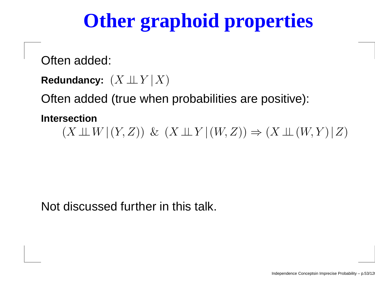## **Other graphoid properties**

Often added:

```
{\sf Redundancy:}\;\left(X \!\perp\!\!\!\perp Y \!\mid\! X \right)
```
Often added (true when probabilities are positive):

**Intersection**

 $(X \perp\!\!\!\perp W | (Y, Z)) \& (X \perp\!\!\!\perp Y | (W, Z)) \Rightarrow (X \perp\!\!\!\perp (W, Y) | Z)$ 

Not discussed further in this talk.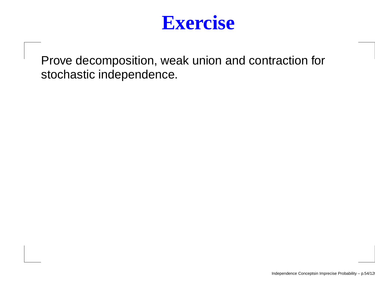

Prove decomposition, weak union and contraction forstochastic independence.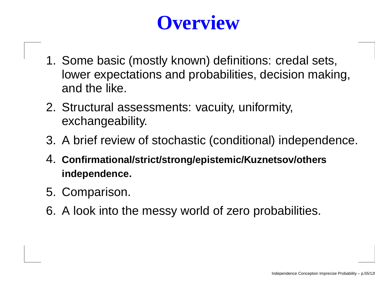## **Overview**

- 1. Some basic (mostly known) definitions: credal sets, lower expectations and probabilities, decision making, and the like.
- 2. Structural assessments: vacuity, uniformity, exchangeability.
- 3. A brief review of stochastic (conditional) independence.
- 4. **Confirmational/strict/strong/epistemic/Kuznetsov/othersindependence.**
- 5. Comparison.
- 6. A look into the messy world of zero probabilities.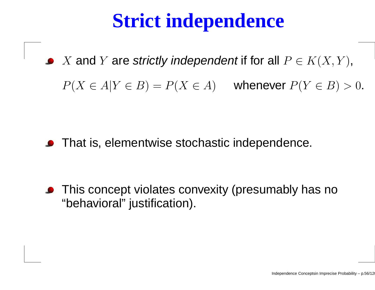## **Strict independence**

 $X$  and  $Y$  are strictly independent if for all  $P \in K(X,Y)$ ,  $P(X \in A | Y \in B) = P(X \in A)$  whenever  $P(Y \in B) > 0$ .

**•** That is, elementwise stochastic independence.

**•** This concept violates convexity (presumably has no "behavioral" justification).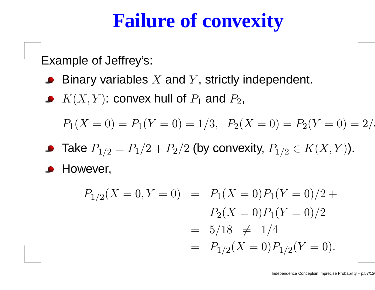#### **Failure of convexity**

Example of Jeffrey's:

- Binary variables  $X$  and  $Y$ , strictly independent.
- $K(X,Y)$ : convex hull of  $P_1$  and  $P_2$ ,

$$
P_1(X = 0) = P_1(Y = 0) = 1/3, P_2(X = 0) = P_2(Y = 0) = 2/3
$$

Take  $P_{1/2}=P_1/2+P_2/2$  (by convexity,  $P_{1/2}\in K(X,Y)$ ).

**• However,** 

$$
P_{1/2}(X = 0, Y = 0) = P_1(X = 0)P_1(Y = 0)/2 +
$$
  
\n
$$
P_2(X = 0)P_1(Y = 0)/2
$$
  
\n
$$
= 5/18 \neq 1/4
$$
  
\n
$$
= P_{1/2}(X = 0)P_{1/2}(Y = 0).
$$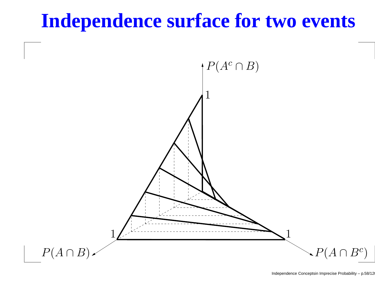#### **Independence surface for two events**

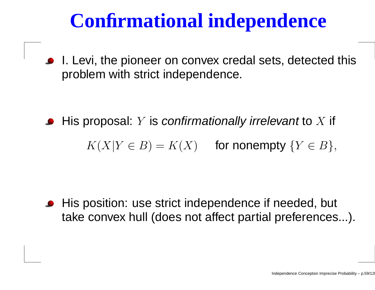## **Confirmational independence**

■ I. Levi, the pioneer on convex credal sets, detected this problem with strict independence.

His proposal:  $Y$  is *confirmationally irrelevant* to  $X$  if

 $K(X|Y\in B)=K(X)$  for nonempty  $\{Y\in B\},$ 

**•** His position: use strict independence if needed, but take convex hull (does not affect partial preferences...).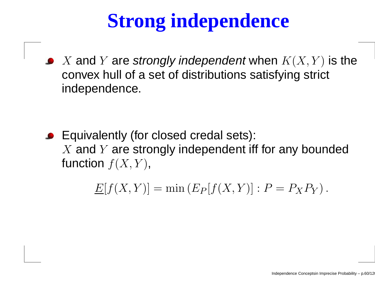# **Strong independence**

X and Y are strongly independent when  $K(X, Y)$  is the  $\mathcal{S}(X, Y)$  is the convex hull of <sup>a</sup> set of distributions satisfying strict independence.

Equivalently (for closed credal sets):  $X$  and  $Y$  are strongly independent iff for any bounded<br>function  $f(X|Y)$ function  $f(X, Y)$ ,

> $\underline{E}[f(X,Y)] = \min(E_P)$  $P[F(X, Y)] : P = P_X P_Y$ .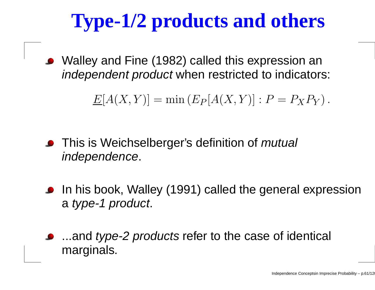# **Type-1/2 products and others**

Walley and Fine (1982) called this expression an*independent product* when restricted to indicators:

> $\underline{E}[A(X,Y)] = \min(E_P)$  $P[P(A(X, Y)] : P = P_X P_Y).$

- **•** This is Weichselberger's definition of *mutual* independence.
- In his book, Walley (1991) called the general expressiona type-1 product.
- ...and *type-2 products* refer to the case of identical marginals.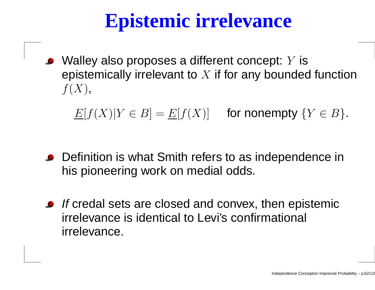## **Epistemic irrelevance**

Walley also proposes <sup>a</sup> different concept: Y is epistemically irrelevant to  $X$  if for any bounded function<br>  $f(X),$ 

 $\underline{E}[f(X)|Y\in B]=\underline{E}[f(X)]$  for nonempty  $\{Y\in B\}.$ 

- Definition is what Smith refers to as independence in his pioneering work on medial odds.
- If credal sets are closed and convex, then epistemic irrelevance is identical to Levi's confirmational irrelevance.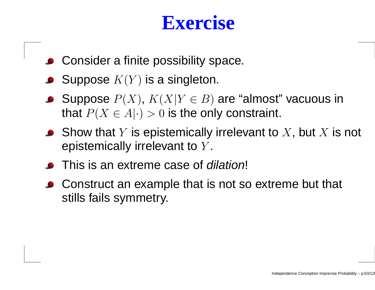#### **Exercise**

- **Consider a finite possibility space.**
- Suppose  $K(Y)$  is a singleton.
- Suppose  $P(X)$ ,  $K(X|Y \in B)$  are "almost" vacuous in that  $P(X \in A| \cdot) > 0$  is the only constraint.
- Show that  $Y$  is epistemically irrelevant to  $X$ , but  $X$  is not<br>enistemically irrelevant to  $Y$ epistemically irrelevant to  $Y.$
- **This is an extreme case of** *dilation***!**
- Construct an example that is not so extreme but that stills fails symmetry.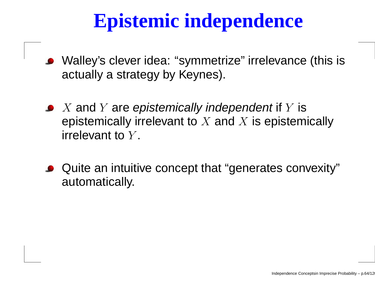## **Epistemic independence**

- Walley's clever idea: "symmetrize" irrelevance (this isactually <sup>a</sup> strategy by Keynes).
- $X$  and  $Y$  are epistemically independent if  $Y$  is<br>enistemically irrelevent to  $X$  and  $Y$  is enistem epistemically irrelevant to  $X$  and  $X$  is epistemically<br>irrelevent to  $Y$ irrelevant to  $Y$  $\overline{\phantom{a}}$ .
- Quite an intuitive concept that "generates convexity"automatically.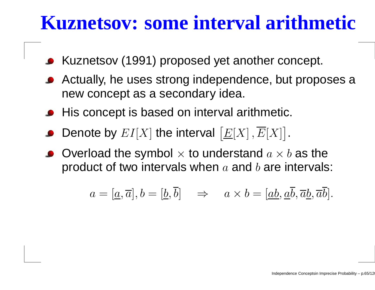#### **Kuznetsov: some interval arithmetic**

- Kuznetsov (1991) proposed yet another concept.
- Actually, he uses strong independence, but proposes a new concept as <sup>a</sup> secondary idea.
- **•** His concept is based on interval arithmetic.
- Denote by  $EI[X]$  the interval  $\overline{\phantom{a}}$  $\underline{E}[X] \, , E[X] \vert$  .
- Overload the symbol  $\times$  to understand  $a \times b$  as the product of two intervals product of two intervals when  $a$  and  $b$  are intervals:

$$
a = [\underline{a}, \overline{a}], b = [\underline{b}, \overline{b}] \Rightarrow a \times b = [\underline{ab}, \underline{a}\overline{b}, \overline{a}\underline{b}, \overline{a}\overline{b}].
$$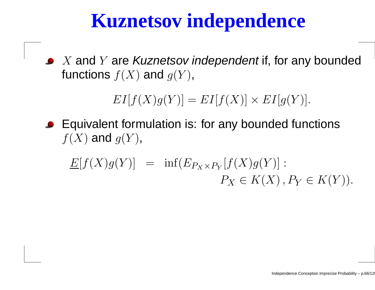#### **Kuznetsov independence**

 $X$  and  $Y$  are Kuznetsov independent if, for any bounded<br>functions  $f(Y)$  and  $g(Y)$ functions  $f(X)$  and  $g(Y)$ ,

 $EI[f(X)g(Y)] = EI[f(X)] \times EI[g(Y)].$ 

Equivalent formulation is: for any bounded functions $f(X)$  and  $g(Y)$ ,

$$
\underline{E}[f(X)g(Y)] = \inf (E_{P_X \times P_Y}[f(X)g(Y)] : P_X \in K(X), P_Y \in K(Y)).
$$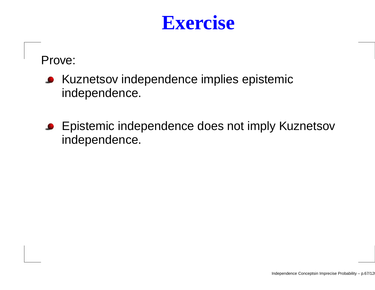#### **Exercise**

Prove:

- Kuznetsov independence implies epistemicindependence.
- **Epistemic independence does not imply Kuznetsov** independence.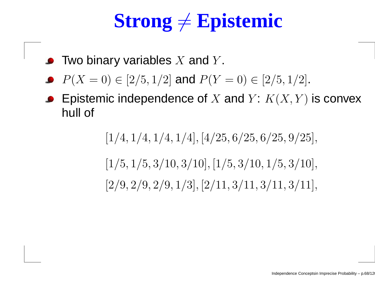# $\textbf{Strong} \neq \textbf{Epistemic}$

- Two binary variables  $X$  and  $Y$ .
- $P(X = 0) \in [2/5, 1/2]$  and  $P(Y = 0) \in [2/5, 1/2]$ .
- Epistemic independence of  $X$  and  $Y\colon K(X,Y)$  is convex<br>bull of hull of

 $[1/4, 1/4, 1/4, 1/4], [4/25, 6/25, 6/25, 9/25],$  $[1/5, 1/5, 3/10, 3/10], [1/5, 3/10, 1/5, 3/10],$  $[2/9, 2/9, 2/9, 1/3], [2/11, 3/11, 3/11, 3/11], \$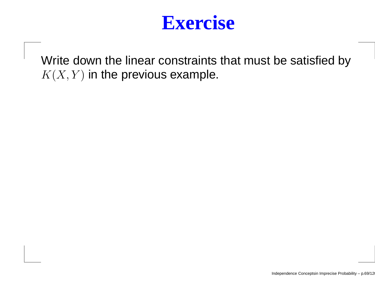

Write down the linear constraints that must be satisfied by $K(X,Y)$  in the previous example.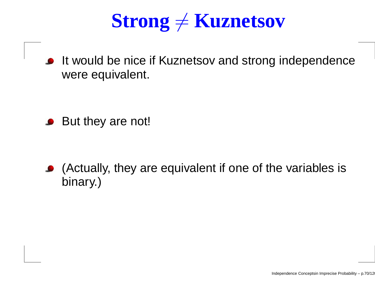# $\textbf{Strong} \neq \textbf{Kuznetsov}$

**It would be nice if Kuznetsov and strong independence** were equivalent.

• But they are not!

(Actually, they are equivalent if one of the variables isbinary.)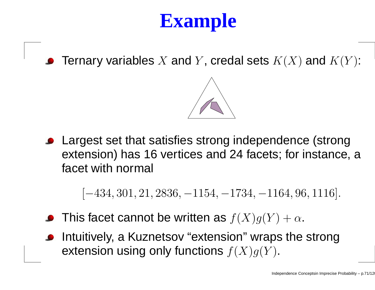# **Example**

Ternary variables  $X$  and  $Y$ , credal sets  $K(X)$  and  $K(Y)$ :



Largest set that satisfies strong independence (strong extension) has 16 vertices and <sup>24</sup> facets; for instance, <sup>a</sup>facet with normal

 $[-434, 301, 21, 2836, -1154, -1734, -1164, 96, 1116].$ 

- This facet cannot be written as  $f(X)g(Y) + \alpha$ .
- Intuitively, <sup>a</sup> Kuznetsov "extension" wraps the strongextension using only functions  $f(X)g(Y)$ .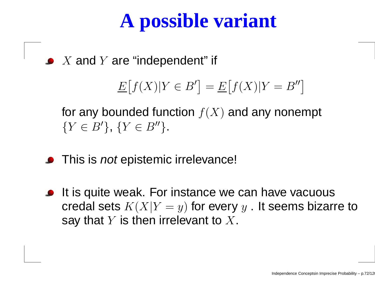### **A possible variant**

 $X$  and  $Y$  are "independent" if

$$
\underline{E}\big[f(X)|Y \in B'\big] = \underline{E}\big[f(X)|Y = B''\big]
$$

for any bounded function  $f(X)$  and any nonempt  $\{Y \in B'\}, \, \{Y \in B''\}.$ 

- This is *not* epistemic irrelevance!
- **It is quite weak. For instance we can have vacuous** credal sets  $K(X|Y=y)$  for every  $y$  . It seems biza ⊂ io say that  $Y$  is then irrelevant to  $X.$  $=y)$  for every  $y$  . It seems bizarre to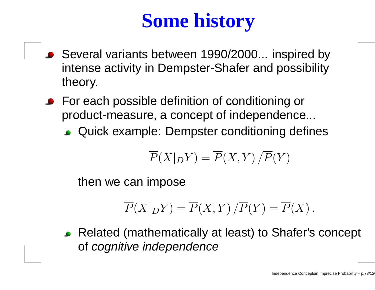# **Some history**

- Several variants between 1990/2000... inspired by intense activity in Dempster-Shafer and possibilitytheory.
- **For each possible definition of conditioning or**  product-measure, <sup>a</sup> concept of independence...
	- Quick example: Dempster conditioning defines

$$
\overline{P}(X|_D Y) = \overline{P}(X,Y)/\overline{P}(Y)
$$

then we can impose

$$
\overline{P}(X|_D Y) = \overline{P}(X,Y)/\overline{P}(Y) = \overline{P}(X).
$$

Related (mathematically at least) to Shafer's concept of cognitive independence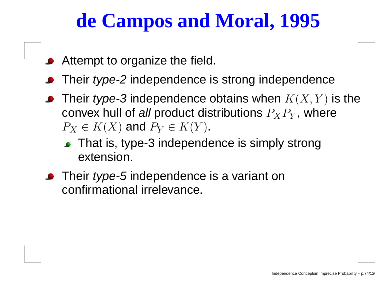## **de Campos and Moral, 1995**

- **•** Attempt to organize the field.
- Their *type-2* independence is strong independence
- Their *type-3* independence obtains when  $K(X,Y)$  is the convex hull of *all* product distributions  $P_XP_Y$ , where  $P_X\in K(X)$  and  $P_Y\in K(Y).$ 
	- That is, type-3 independence is simply strong extension.
- Their *type-5* independence is a variant on confirmational irrelevance.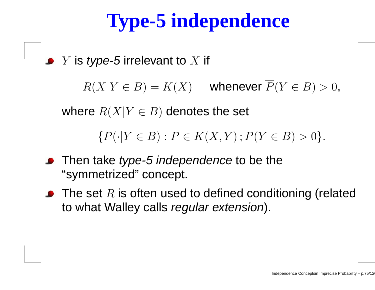# **Type-5 independence**

 $Y$  is *type-5* irrelevant to  $X$  if

 $R(X|Y \in B) = K(X)$  whenever  $P(Y \in B) > 0$ ,

where  $R(X|Y\in B)$  denotes the set

 $\{P(\cdot|Y \in B) : P \in K(X, Y) ; P(Y \in B) > 0\}.$ 

- Then take *type-5 independence* to be the "symmetrized" concept.
- The set  $R$  is often used to defined conditioning (related  $\mathbf t$ to what Walley calls *regular extension*).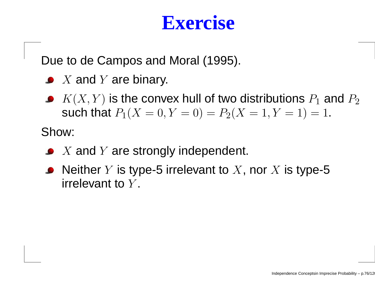#### **Exercise**

Due to de Campos and Moral (1995).

- $X$  and  $Y$  are binary.
- $K(X,Y)$  is the convex hull of two distributions  $P_1$  and  $P_2$ such that  $P_1(X = 0, Y = 0) = P_2(X = 1, Y = 1) = 1$ .

Show:

- $X$  and  $Y$  are strongly independent.
- Neither  $Y$  is type-5 irrelevant to  $X,$  nor  $X$  is type-5  $\mathop{\sf irrel}\nolimits_\mathbf{C}$ irrelevant to  $Y$ .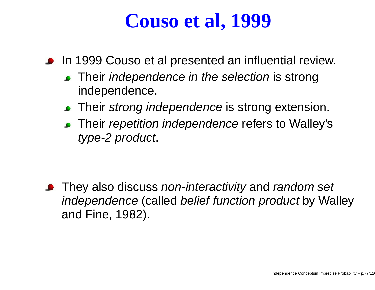## **Couso et al, 1999**

- **In 1999 Couso et al presented an influential review.** 
	- Their *independence in the selection* is strong independence.
	- Their *strong independence* is strong extension.
	- Their *repetition independence* refers to Walley's type-2 product.

They also discuss *non-interactivity* and *random set* independence (called belief function product by Walley and Fine, 1982).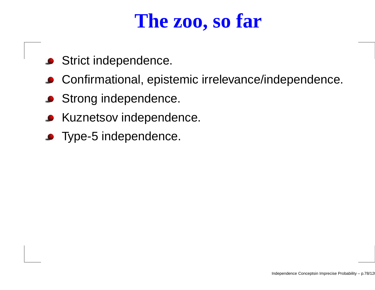#### **The zoo, so far**

- **Strict independence.**
- Confirmational, epistemic irrelevance/independence.
- **Strong independence.**
- **Kuznetsov independence.**
- **•** Type-5 independence.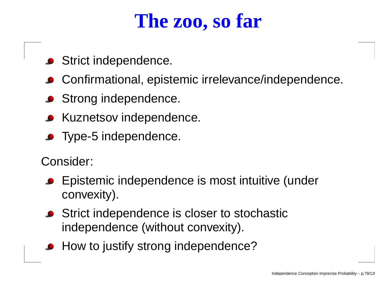### **The zoo, so far**

- **Strict independence.**
- Confirmational, epistemic irrelevance/independence.
- **Strong independence.**
- **Kuznetsov independence.**
- **•** Type-5 independence.

Consider:

- Epistemic independence is most intuitive (underconvexity).
- **Strict independence is closer to stochastic** independence (without convexity).
- How to justify strong independence?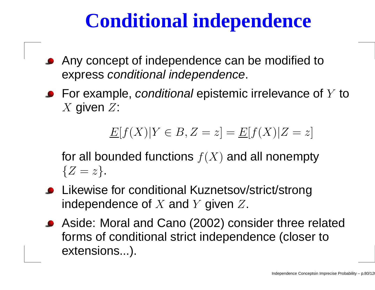## **Conditional independence**

- Any concept of independence can be modified toexpress conditional independence.
- For example, *conditional* epistemic irrelevance of  $Y$  to  $X$  given  $Z$ :

 $E[f(X)|Y \in B, Z =$  $[z] = \underline{E}[f(X)|Z]$ = $z\big]$ 

for all bounded functions  $f(X)$  and all nonempty  $\{Z=z\}$  .

- Likewise for conditional Kuznetsov/strict/strongindependence of  $X$  and  $Y$  given  $Z$ .
- Aside: Moral and Cano (2002) consider three relatedforms of conditional strict independence (closer toextensions...).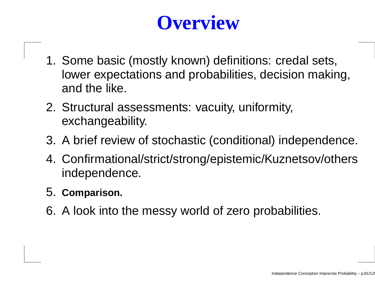# **Overview**

- 1. Some basic (mostly known) definitions: credal sets, lower expectations and probabilities, decision making, and the like.
- 2. Structural assessments: vacuity, uniformity, exchangeability.
- 3. A brief review of stochastic (conditional) independence.
- 4. Confirmational/strict/strong/epistemic/Kuznetsov/othersindependence.
- 5. **Comparison.**
- 6. A look into the messy world of zero probabilities.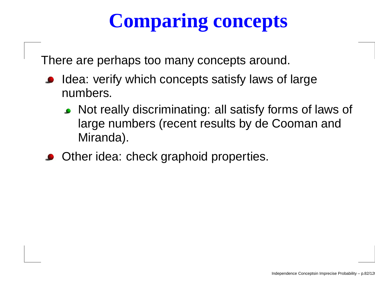# **Comparing concepts**

There are perhaps too many concepts around.

- **Idea: verify which concepts satisfy laws of large** numbers.
	- Not really discriminating: all satisfy forms of laws of large numbers (recent results by de Cooman andMiranda).
- **Other idea: check graphoid properties.**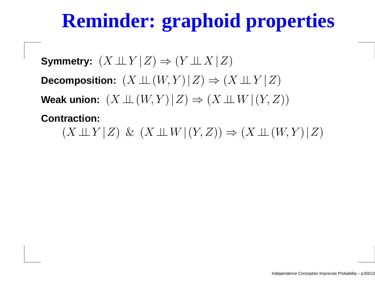# **Reminder: graphoid properties**

**Symmetry:**  $(X \perp\!\!\!\perp Y | Z) \Rightarrow (Y \perp\!\!\!\perp X | Z)$ Decomposition:  $(X \perp\!\!\!\perp (W, Y) | Z) \Rightarrow (X \perp\!\!\!\perp Y | Z)$ **Weak union:**  $(X ⊥ ⊥ (W, Y) | Z) \Rightarrow (X ⊥ W | (Y, Z))$ 

**Contraction:** $(X \perp \!\!\!\perp Y | Z) \& (X \perp \!\!\!\perp W | (Y, Z)) \Rightarrow (X \perp \!\!\!\perp (W, Y) | Z)$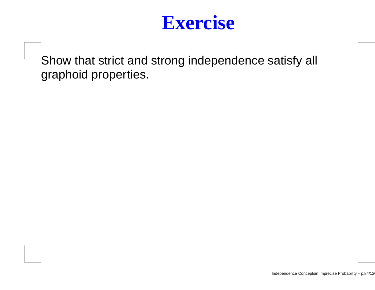

Show that strict and strong independence satisfy all graphoid properties.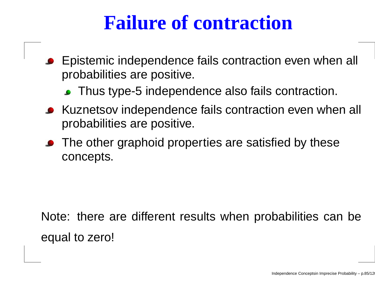### **Failure of contraction**

- Epistemic independence fails contraction even when all probabilities are positive.
	- **Thus type-5 independence also fails contraction.**
- Kuznetsov independence fails contraction even when all probabilities are positive.
- The other graphoid properties are satisfied by these concepts.

Note: there are different results when probabilities can beequal to zero!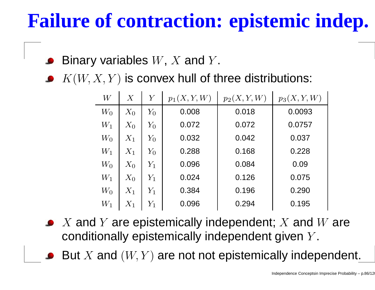# **Failure of contraction: epistemic indep.**

- Binary variables  $W,$   $X$  and  $Y$  $\overline{\phantom{a}}$ .
- $K(W, X, Y)$  is convex hull of three distributions:

| W     | $\overline{X}$ | $\overline{Y}$ | $p_1(X, Y, W)$ | $p_2(X, Y, W)$ | $p_3(X, Y, W)$ |
|-------|----------------|----------------|----------------|----------------|----------------|
| $W_0$ | $X_0$          | $Y_0$          | 0.008          | 0.018          | 0.0093         |
| $W_1$ | $X_0$          | $Y_0$          | 0.072          | 0.072          | 0.0757         |
| $W_0$ | $X_1$          | $Y_0$          | 0.032          | 0.042          | 0.037          |
| $W_1$ | $X_1$          | $Y_0$          | 0.288          | 0.168          | 0.228          |
| $W_0$ | $X_0$          | $Y_1$          | 0.096          | 0.084          | 0.09           |
| $W_1$ | $X_0$          | $Y_1$          | 0.024          | 0.126          | 0.075          |
| $W_0$ | $X_1$          | $Y_1$          | 0.384          | 0.196          | 0.290          |
| $W_1$ | $X_1$          | $Y_1$          | 0.096          | 0.294          | 0.195          |

- $X$  and  $Y$  are epistemically independent;  $X$  and  $W$  are<br>conditionally epistemically independent given  $Y$ conditionally epistemically independent given  $Y$  $\overline{\phantom{a}}$ .
- But  $X$  and  $(W,Y)$  are not not epistemically independent.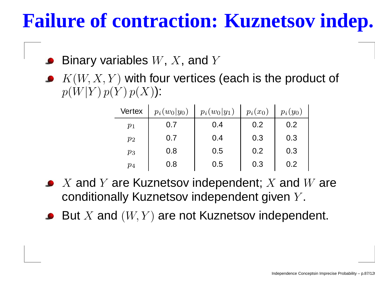## **Failure of contraction: Kuznetsov indep.**

- Binary variables  $W,\,X,$  and  $Y$
- $K(W, X, Y)$  with four vertices (each is the product of  $p(W|Y) \, p(Y) \, p(X)$ ):

| <b>Vertex</b> | $p_i(w_0 y_0)$ | $p_i(w_0 y_1)$ | $p_i(x_0)$ | $p_i(y_0)$ |
|---------------|----------------|----------------|------------|------------|
| $p_1$         | 0.7            | 0.4            | 0.2        | 0.2        |
| $p_2$         | 0.7            | 0.4            | 0.3        | 0.3        |
| $p_3$         | 0.8            | 0.5            | 0.2        | 0.3        |
| $p_{4}$       | 0.8            | 0.5            | 0.3        | 0.2        |

- $X$  and  $Y$  are Kuznetsov independent;  $X$  and  $W$  are<br>conditionally Kuznetsov independent given  $Y$ conditionally Kuznetsov independent given  $Y$  $\overline{\phantom{a}}$
- But  $X$  and  $(W,Y)$  are not Kuznetsov independent.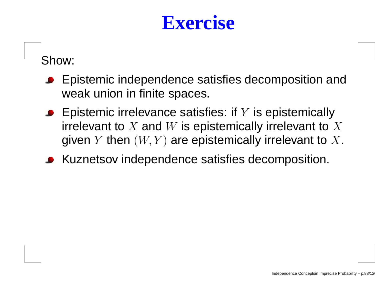#### **Exercise**

Show:

- **Epistemic independence satisfies decomposition and** weak union in finite spaces.
- Epistemic irrelevance satisfies: if  $Y$  is epistemically irrelevant to  $X$  and  $W$  is epistemically irrelevant to  $X$ <br>given  $V$  then  $(W|V)$  are epistemically irrelevant to  $X$ given  $Y$  then  $(W,Y)$  are epistemically irrelevant to  $X.$
- Kuznetsov independence satisfies decomposition.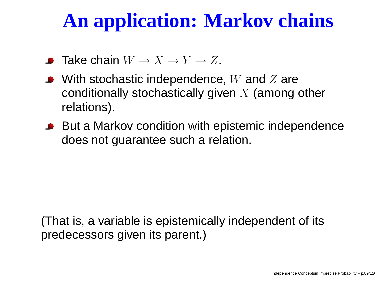# **An application: Markov chains**

- Take chain  $W\to X\to Y\to Z.$
- With stochastic independence, W and Z are<br>conditionally stochastically given *X (among* conditionally stochastically given  $X$  (among other<br>relatione) relations).
- But a Markov condition with epistemic independence does not guarantee such <sup>a</sup> relation.

(That is, <sup>a</sup> variable is epistemically independent of itspredecessors given its parent.)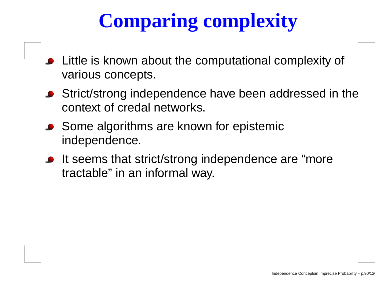# **Comparing complexity**

- **•** Little is known about the computational complexity of various concepts.
- **•** Strict/strong independence have been addressed in the context of credal networks.
- Some algorithms are known for epistemic independence.
- If seems that strict/strong independence are "more" tractable" in an informal way.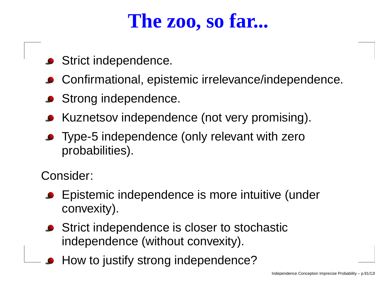## **The zoo, so far...**

- **Strict independence.**
- Confirmational, epistemic irrelevance/independence.
- **Strong independence.**
- Kuznetsov independence (not very promising).
- Type-5 independence (only relevant with zero probabilities).

Consider:

- Epistemic independence is more intuitive (under convexity).
- **Strict independence is closer to stochastic** independence (without convexity).
- How to justify strong independence?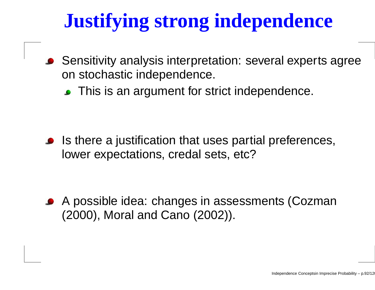# **Justifying strong independence**

- Sensitivity analysis interpretation: several experts agreeon stochastic independence.
	- **This is an argument for strict independence.**

Is there <sup>a</sup> justification that uses partial preferences, lower expectations, credal sets, etc?

A possible idea: changes in assessments (Cozman(2000), Moral and Cano (2002)).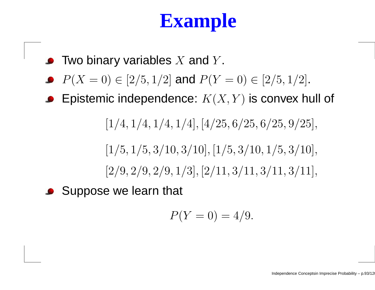## **Example**

- Two binary variables  $X$  and  $Y$ .
- $P(X = 0) \in [2/5, 1/2]$  and  $P(Y = 0) \in [2/5, 1/2]$ .
- Epistemic independence:  $K(X,Y)$  is convex hull of

 $[1/4, 1/4, 1/4, 1/4], [4/25, 6/25, 6/25, 9/25],$ 

 $[1/5, 1/5, 3/10, 3/10], [1/5, 3/10, 1/5, 3/10],$  $[2/9, 2/9, 2/9, 1/3], [2/11, 3/11, 3/11, 3/11], \$ 

Suppose we learn that

$$
P(Y=0) = 4/9.
$$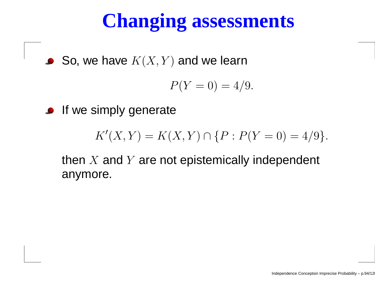# **Changing assessments**

So, we have  $K(X, Y)$  and we learn

$$
P(Y=0) = 4/9.
$$

**If we simply generate** 

$$
K'(X,Y) = K(X,Y) \cap \{P : P(Y=0) = 4/9\}.
$$

then  $X$  and  $Y$  are not epistemically independent<br>envmare anymore.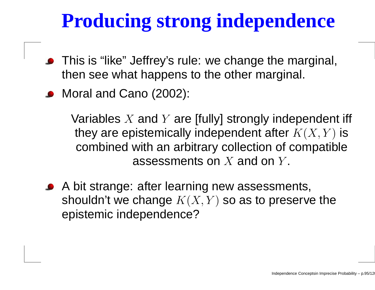# **Producing strong independence**

- This is "like" Jeffrey's rule: we change the marginal, then see what happens to the other marginal.
- Moral and Cano (2002):

Variables  $X$  and  $Y$  are [fully] strongly independent iff  $\mathbf{f}$ they are epistemically independent after  $K(X, Y)$  is combined with an arbitrary collection of compatibleassessments on  $X$  and on  $Y$  $\overline{\phantom{a}}$ .

A bit strange: after learning new assessments, shouldn't we change  $K(X, Y)$  so as to preserve the  $\sim$ epistemic independence?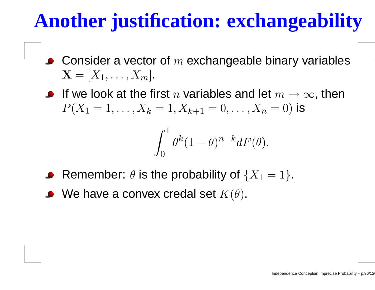# **Another justification: exchangeability**

- Consider a vector of  $m$  exchangeable binary variables<br> $\mathbf{v} = [\mathbf{v}]^\top$  $\mathbf{X} = [X_1, \dots, X_m].$
- If we look at the first *n* variables and let  $m \to \infty$ , then<br> $D(Y_1 = 1$   $Y_2 = 1$   $Y_3 = 0$   $Y_4 = 0$  is  $P(X_1$  $i_1 = 1, \ldots, X$  $\,$  $k = 1, X$  $k{+}1$  $_1 = 0, \ldots, X_n = 0)$  is

$$
\int_0^1 \theta^k (1-\theta)^{n-k} dF(\theta).
$$

- Remember:  $\theta$  is the probability of  $\{X_1=1\}.$
- We have a convex credal set  $K(\theta).$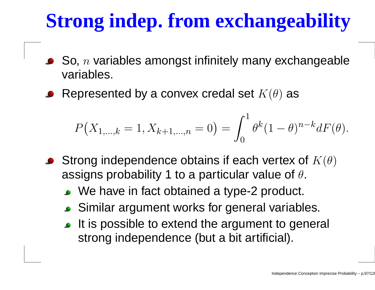# **Strong indep. from exchangeability**

- So,  $n$  variables amongst infinitely many exchangeable variables.
- Represented by a convex credal set  $K(\theta)$  as

$$
P(X_{1,\ldots,k}=1,X_{k+1,\ldots,n}=0)=\int_0^1\theta^k(1-\theta)^{n-k}dF(\theta).
$$

- Strong independence obtains if each vertex of  $K(\theta)$ assigns probability 1 to a particular value of  $\theta.$ 
	- We have in fact obtained <sup>a</sup> type-2 product.
	- Similar argument works for general variables.
	- It is possible to extend the argument to general strong independence (but <sup>a</sup> bit artificial).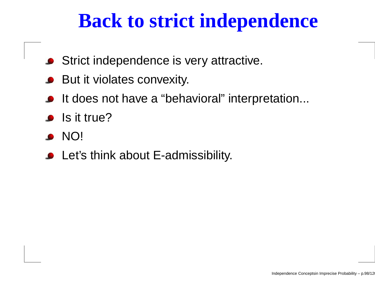## **Back to strict independence**

- **Strict independence is very attractive.**
- But it violates convexity.
- It does not have a "behavioral" interpretation...
- $\bullet$  Is it true?
- NO!
- Let's think about E-admissibility.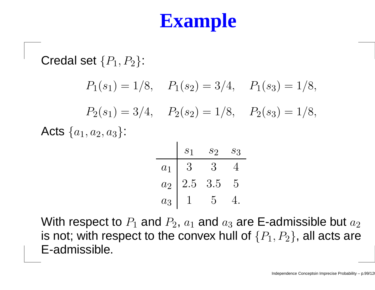# **Example**

Credal set  $\{P_1, P_2\}$ :  $P_1(s_1) = 1/8$ ,  $P_1(s_2) = 3/4$ ,  $P_1(s_3) = 1/8$ ,  $P_2(s_1) = 3/4$ ,  $P_2(s_2) = 1/8$ ,  $P_2(s_3) = 1/8$ , Acts  $\{a_1,a_2,a_3\}$ :

|                  | S <sub>1</sub> | $\mathcal{S}2$ | $S_3$ |
|------------------|----------------|----------------|-------|
| $a_1$            | {}<br>:}       | 3              |       |
| $\overline{a_2}$ | $2.5\,$        | 3.5            | 5     |
| $a_3$            |                | 5              |       |

With respect to  $P_1$  and  $P_2$ ,  $a_1$  and  $a_3$  are E-admissible but  $a_2$ is not; with respect to the convex hull of  $\{P_1, P_2\}$ , all acts are E-admissible.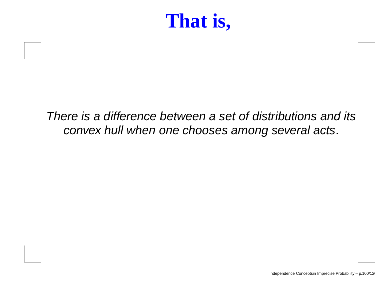### **That is,**

#### There is <sup>a</sup> difference between <sup>a</sup> set of distributions and itsconvex hull when one chooses among several acts.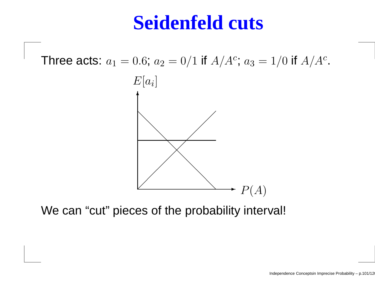#### **Seidenfeld cuts**

Three acts:  $a_1 = 0.6$ ;  $a_2 = 0/1$  if  $A/A^c$  $c$ ;  $a_3 = 1/0$  if  $A/A^c$ ;<br>; .



We can "cut" pieces of the probability interval!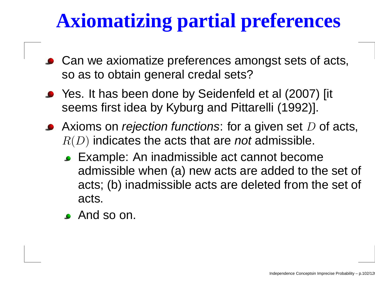# **Axiomatizing partial preferences**

- Can we axiomatize preferences amongst sets of acts, so as to obtain general credal sets?
- Yes. It has been done by Seidenfeld et al (2007) [it seems first idea by Kyburg and Pittarelli (1992)].
- Axioms on *rejection functions*: for a given set  $D$  of acts,<br> $D(D)$  indicates the acts that are not admissible.  $R(D)$  indicates the acts that are *not* admissible.
	- Example: An inadmissible act cannot become admissible when (a) new acts are added to the set of acts; (b) inadmissible acts are deleted from the set of acts.
	- **And so on.**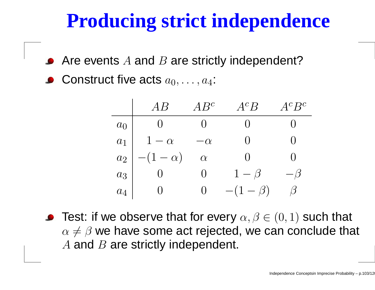# **Producing strict independence**

- Are events  $A$  and  $B$  are strictly independent?
- Construct five acts  $a_0, \ldots, a_4$ :

|                |               | $4B^c$   | $A^cB$         | $A^cB^c$ |
|----------------|---------------|----------|----------------|----------|
| a <sub>0</sub> |               |          |                |          |
| $a_1$          | $1-\alpha$    | $\alpha$ | ( )            |          |
| $a_2$          | $-(1-\alpha)$ | $\alpha$ | ( )            |          |
| $a_3$          |               |          | $1-\beta$      | $-\beta$ |
| $a_4$          |               |          | $-(1 - \beta)$ | /3       |

Test: if we observe that for every  $\alpha, \beta \in (0,1)$  such that  $\alpha\neq\beta$  we have some act rejected, we can conclude that  $A$  and  $B$  are strictly independent.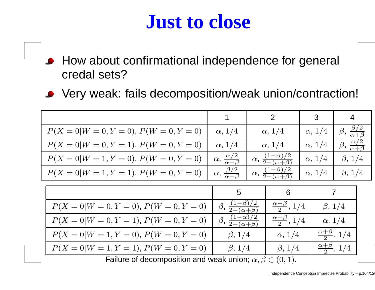#### **Just to close**

- **How about confirmational independence for general** credal sets?
- Very weak: fails decomposition/weak union/contraction!

|                                                                       | 1                                                 |                                                 | 2                              | 3              | $\overline{4}$                           |  |
|-----------------------------------------------------------------------|---------------------------------------------------|-------------------------------------------------|--------------------------------|----------------|------------------------------------------|--|
| $P(X = 0 W = 0, Y = 0), P(W = 0, Y = 0)$                              | $\alpha$ , 1/4                                    | $\alpha$ , 1/4                                  |                                | $\alpha$ , 1/4 | $\beta$ , $\frac{\beta/2}{\alpha+\beta}$ |  |
| $P(X=0 W=0, Y=1), P(W=0, Y=0)$                                        | $\alpha$ , 1/4                                    | $\alpha$ , 1/4                                  |                                | $\alpha$ , 1/4 | $\beta, \frac{\alpha/2}{\alpha+\beta}$   |  |
| $P(X = 0 W = 1, Y = 0), P(W = 0, Y = 0)$                              | $\alpha, \frac{\alpha/2}{\alpha+\beta}$           | $\alpha, \frac{(1-\alpha)/2}{2-(\alpha+\beta)}$ |                                | $\alpha$ , 1/4 | $\beta$ , 1/4                            |  |
| $P(X = 0 W = 1, Y = 1), P(W = 0, Y = 0)$                              | $\alpha, \frac{\beta/2}{\alpha+\beta}$            | $\alpha, \frac{(1-\beta)/2}{2-(\alpha+\beta)}$  |                                | $\alpha$ , 1/4 | $\beta$ , 1/4                            |  |
|                                                                       |                                                   |                                                 |                                |                |                                          |  |
|                                                                       | 5                                                 |                                                 | 6                              |                | 7                                        |  |
| $P(X = 0 W = 0, Y = 0), P(W = 0, Y = 0)$                              | $\beta$ , $\frac{(1-\beta)/2}{2-(\alpha+\beta)}$  |                                                 | $\frac{\alpha+\beta}{2}$ , 1/4 |                | $\beta$ , 1/4                            |  |
| $P(X=0 W=0, Y=1), P(W=0, Y=0)$                                        | $\beta$ , $\frac{(1-\alpha)/2}{2-(\alpha+\beta)}$ |                                                 | $\frac{\alpha+\beta}{2}$ , 1/4 |                | $\alpha$ , 1/4                           |  |
| $P(X = 0 W = 1, Y = 0), P(W = 0, Y = 0)$                              | $\beta$ , 1/4                                     |                                                 | $\alpha$ , 1/4                 |                | $\frac{\alpha+\beta}{2}$ , 1/4           |  |
| $P(X = 0 W = 1, Y = 1), P(W = 0, Y = 0)$                              | $\beta$ , 1/4                                     |                                                 | $\beta$ , 1/4                  |                | $\frac{\alpha+\beta}{2}$ , 1/4           |  |
| Failure of decomposition and weak union; $\alpha, \beta \in (0, 1)$ . |                                                   |                                                 |                                |                |                                          |  |
|                                                                       |                                                   |                                                 |                                |                |                                          |  |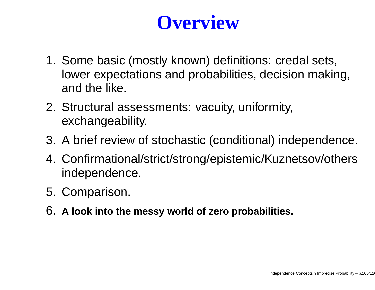# **Overview**

- 1. Some basic (mostly known) definitions: credal sets, lower expectations and probabilities, decision making, and the like.
- 2. Structural assessments: vacuity, uniformity, exchangeability.
- 3. A brief review of stochastic (conditional) independence.
- 4. Confirmational/strict/strong/epistemic/Kuznetsov/othersindependence.
- 5. Comparison.
- 6. **<sup>A</sup> look into the messy world of zero probabilities.**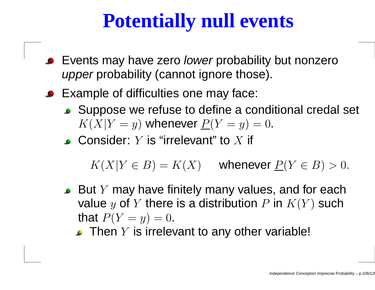# **Potentially null events**

- Events may have zero *lower* probability but nonzero *upper* probability (cannot ignore those).
- Example of difficulties one may face:
	- Suppose we refuse to define <sup>a</sup> conditional credal set  $K(X|Y$  $=y)$  whenever  $\underline{P}(Y=$  $y) = 0.$
	- Consider:  $Y$  is "irrelevant" to  $X$  if

 $K(X|Y \in B) = K(X)$  whenever  $P(Y \in B) > 0$ .

- But  $Y$  may have finitely many values, and for each value y of Y there is a distribution P in  $K(Y)$  such that  $P(Y=$  $y) = 0.$ 
	- Then  $Y$  is irrelevant to any other variable!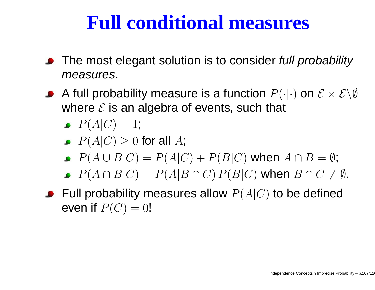#### **Full conditional measures**

- The most elegant solution is to consider *full probability* measures.
- A full probability measure is a function  $P(\cdot|\cdot)$  on  $\mathcal{E} \times \mathcal{E}\backslash\emptyset$ where  $\mathcal E$  is an algebra of events, such that
	- $P(A|C) = 1;$
	- $P(A|C) \geq 0$  for all  $A$ ;
	- $P(A\cup B|C) = P(A|C) + P(B|C)$  when  $A\cap B=\emptyset$ ;
	- $P(A \cap B|C) = P(A|B \cap C) P(B|C)$  when  $B \cap C \neq \emptyset$ .
- Full probability measures allow  $P(A|C)$  to be defined even if  $P(C) = 0!$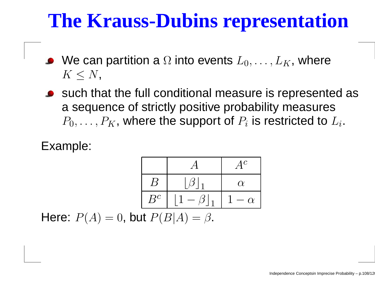#### **The Krauss-Dubins representation**

- We can partition a  $\Omega$  into events  $L_0,\ldots,L_K$ , where  $K\leq N$  ,
- such that the full conditional measure is represented as<sup>a</sup> sequence of strictly positive probability measures $P_0,\ldots,P_K$ , where the support of  $P_i$  is restricted to  $L_i.$

#### Example:

|                |                        | $4^c$    |
|----------------|------------------------|----------|
| $\overline{B}$ | $\left[\beta\right]_1$ | $\alpha$ |
| $B^c$          | $\beta _1$             | $\alpha$ |

Here:  $P(A) = 0$ , but  $P(B|A) = \beta$ .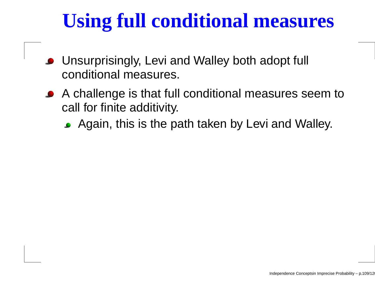# **Using full conditional measures**

- Unsurprisingly, Levi and Walley both adopt full conditional measures.
- A challenge is that full conditional measures seem tocall for finite additivity.
	- Again, this is the path taken by Levi and Walley.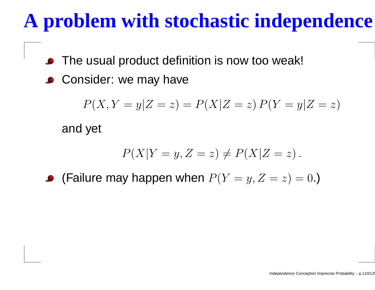# **A problem with stochastic independence**

- The usual product definition is now too weak!
- **Consider: we may have**

$$
P(X, Y = y | Z = z) = P(X | Z = z) P(Y = y | Z = z)
$$

and yet

$$
P(X|Y = y, Z = z) \neq P(X|Z = z).
$$

(Failure may happen when  $P(Y=y, Z=\,$  $z) = 0.$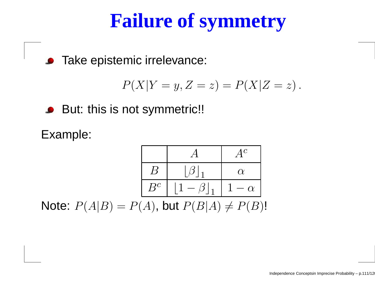# **Failure of symmetry**

**•** Take epistemic irrelevance:

$$
P(X|Y = y, Z = z) = P(X|Z = z).
$$

**But: this is not symmetric!!** 

Example:

$$
\begin{array}{|c|c|c|c|}\n\hline\n & & A & A^c \\
\hline\nB & & & \beta_1 & \alpha \\
\hline\nB^c & & & 1 - \beta_1 & 1 - \alpha \\
\hline\nD(A|D) & & & D(D|A) & & D(D)\n\end{array}
$$

Note:  $P(A|B) = P(A)$ , but  $P(B|A) \neq P(B)!$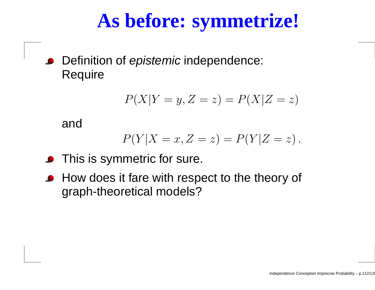# **As before: symmetrize!**

Definition of *epistemic* independence:<br>– **Require** 

$$
P(X|Y=y, Z=z) = P(X|Z=z)
$$

and

$$
P(Y|X=x, Z=z) = P(Y|Z=z).
$$

- **•** This is symmetric for sure.
- **How does it fare with respect to the theory of** graph-theoretical models?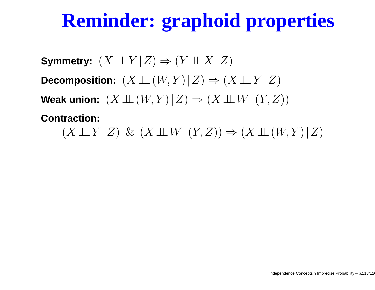# **Reminder: graphoid properties**

**Symmetry:**  $(X \perp\!\!\!\perp Y | Z) \Rightarrow (Y \perp\!\!\!\perp X | Z)$ Decomposition:  $(X \perp\!\!\!\perp (W, Y) | Z) \Rightarrow (X \perp\!\!\!\perp Y | Z)$ **Weak union:**  $(X ⊥ ⊥ (W, Y) | Z) \Rightarrow (X ⊥ W | (Y, Z))$ 

**Contraction:** $(X \perp \!\!\!\perp Y | Z) \& (X \perp \!\!\!\perp W | (Y, Z)) \Rightarrow (X \perp \!\!\!\perp (W, Y) | Z)$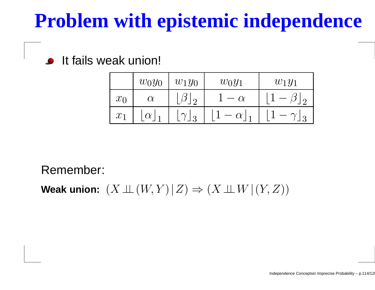# **Problem with epistemic independence**

#### **If fails weak union!**

|       | $w_0y_0$ | $w_1y_0$               | $w_0y_1$                | $w_1y_1$ |
|-------|----------|------------------------|-------------------------|----------|
| $x_0$ | $\alpha$ | ر<br>$\Omega$          |                         |          |
| $x_1$ | $\alpha$ | $\sim$<br>$\mathbf{P}$ | $\alpha$<br>$\mathbf 1$ |          |

Remember:

**Weak union:**  $(X ⊥ ⊥ (W, Y) | Z) \Rightarrow (X ⊥ W | (Y, Z))$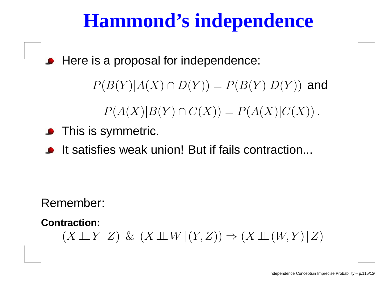### **Hammond's independence**

**• Here is a proposal for independence:** 

 $P(B(Y)|A(X)\cap D(Y)) = P(B(Y)|D(Y))$  and

 $P(A(X)|B(Y) \cap C(X)) = P(A(X)|C(X)).$ 

- **•** This is symmetric.
- It satisfies weak union! But if fails contraction...

Remember:

**Contraction:**

 $(X \perp \!\!\!\perp Y | Z) \& (X \perp \!\!\!\perp W | (Y, Z)) \Rightarrow (X \perp \!\!\!\perp (W, Y) | Z)$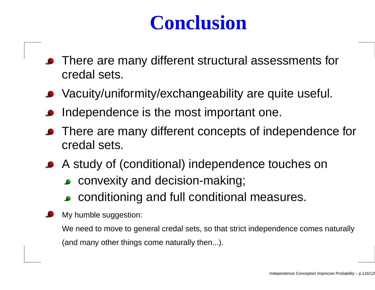## **Conclusion**

- **•** There are many different structural assessments for credal sets.
- Vacuity/uniformity/exchangeability are quite useful.
- Independence is the most important one.
- **•** There are many different concepts of independence for credal sets.
- A study of (conditional) independence touches on
	- **convexity and decision-making;**
	- conditioning and full conditional measures.
	- My humble suggestion:

We need to move to general credal sets, so that strict independence comes naturally(and many other things come naturally then...).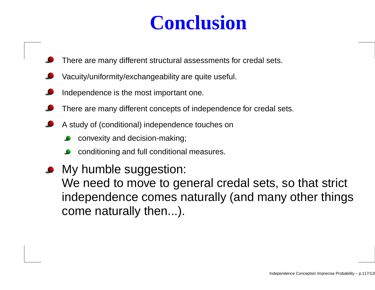### **Conclusion**

- There are many different structural assessments for credal sets.
- Vacuity/uniformity/exchangeability are quite useful.
- Independence is the most important one.
- There are many different concepts of independence for credal sets.
- A study of (conditional) independence touches on
	- convexity and decision-making;
	- conditioning and full conditional measures.
- My humble suggestion: We need to move to general credal sets, so that strict independence comes naturally (and many other thingscome naturally then...).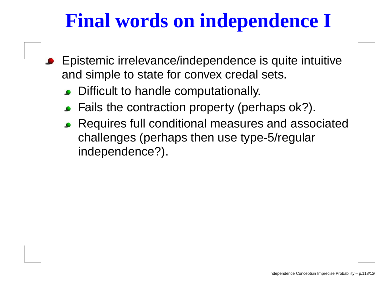# **Final words on independence I**

- Epistemic irrelevance/independence is quite intuitiveand simple to state for convex credal sets.
	- **Difficult to handle computationally.**
	- Fails the contraction property (perhaps ok?).
	- Requires full conditional measures and associatedchallenges (perhaps then use type-5/regularindependence?).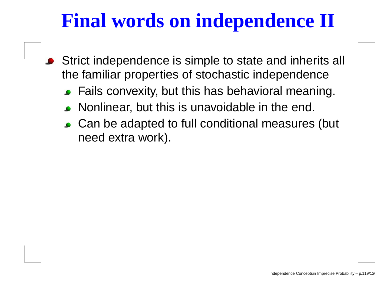# **Final words on independence II**

- Strict independence is simple to state and inherits all the familiar properties of stochastic independence
	- Fails convexity, but this has behavioral meaning.
	- Nonlinear, but this is unavoidable in the end.
	- Can be adapted to full conditional measures (but need extra work).